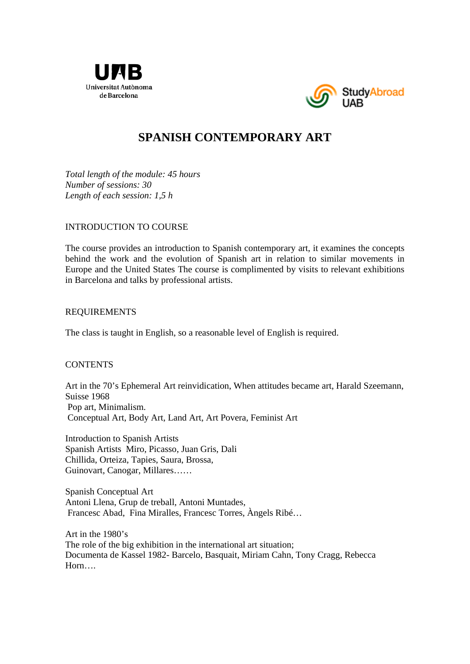



# **SPANISH CONTEMPORARY ART**

*Total length of the module: 45 hours Number of sessions: 30 Length of each session: 1,5 h* 

## INTRODUCTION TO COURSE

The course provides an introduction to Spanish contemporary art, it examines the concepts behind the work and the evolution of Spanish art in relation to similar movements in Europe and the United States The course is complimented by visits to relevant exhibitions in Barcelona and talks by professional artists.

#### REQUIREMENTS

The class is taught in English, so a reasonable level of English is required.

## **CONTENTS**

Art in the 70's Ephemeral Art reinvidication, When attitudes became art, Harald Szeemann, Suisse 1968 Pop art, Minimalism. Conceptual Art, Body Art, Land Art, Art Povera, Feminist Art

Introduction to Spanish Artists Spanish Artists Miro, Picasso, Juan Gris, Dali Chillida, Orteiza, Tapies, Saura, Brossa, Guinovart, Canogar, Millares……

Spanish Conceptual Art Antoni Llena, Grup de treball, Antoni Muntades, Francesc Abad, Fina Miralles, Francesc Torres, Àngels Ribé…

Art in the 1980's The role of the big exhibition in the international art situation; Documenta de Kassel 1982- Barcelo, Basquait, Miriam Cahn, Tony Cragg, Rebecca Horn….